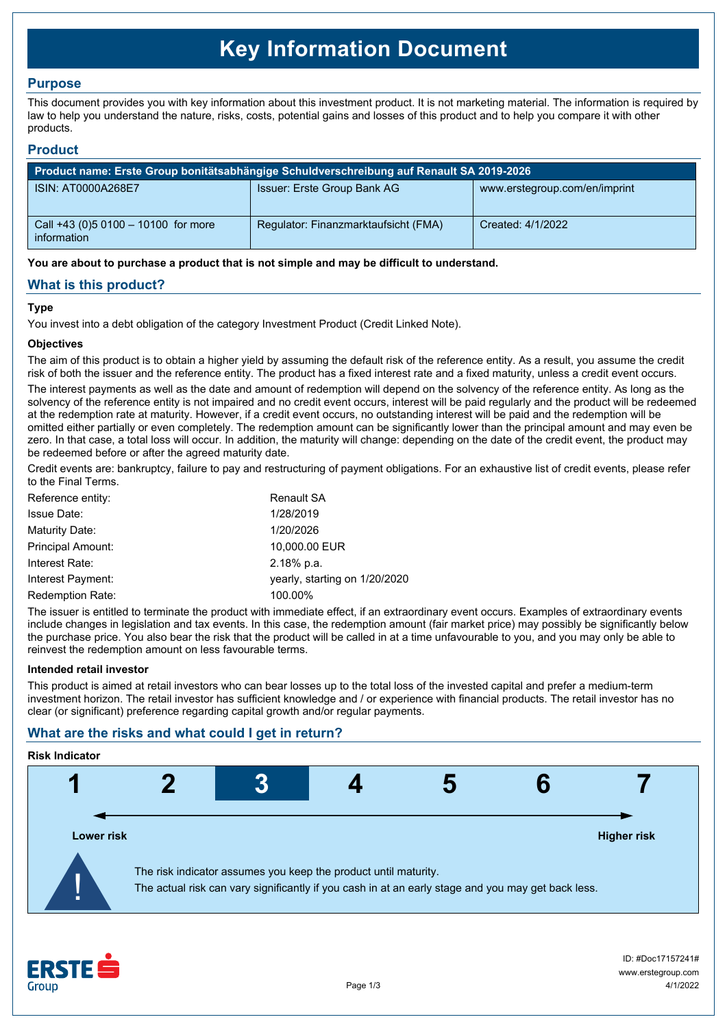# **Key Information Document**

# **Purpose**

This document provides you with key information about this investment product. It is not marketing material. The information is required by law to help you understand the nature, risks, costs, potential gains and losses of this product and to help you compare it with other products.

## **Product**

| Product name: Erste Group bonitätsabhängige Schuldverschreibung auf Renault SA 2019-2026 |                                      |                               |  |
|------------------------------------------------------------------------------------------|--------------------------------------|-------------------------------|--|
| ISIN: AT0000A268E7                                                                       | Issuer: Erste Group Bank AG          | www.erstegroup.com/en/imprint |  |
| Call +43 (0) 5 0100 - 10100 for more<br>information                                      | Regulator: Finanzmarktaufsicht (FMA) | Created: 4/1/2022             |  |

**You are about to purchase a product that is not simple and may be difficult to understand.**

# **What is this product?**

#### **Type**

You invest into a debt obligation of the category Investment Product (Credit Linked Note).

#### **Objectives**

The aim of this product is to obtain a higher yield by assuming the default risk of the reference entity. As a result, you assume the credit risk of both the issuer and the reference entity. The product has a fixed interest rate and a fixed maturity, unless a credit event occurs.

The interest payments as well as the date and amount of redemption will depend on the solvency of the reference entity. As long as the solvency of the reference entity is not impaired and no credit event occurs, interest will be paid regularly and the product will be redeemed at the redemption rate at maturity. However, if a credit event occurs, no outstanding interest will be paid and the redemption will be omitted either partially or even completely. The redemption amount can be significantly lower than the principal amount and may even be zero. In that case, a total loss will occur. In addition, the maturity will change: depending on the date of the credit event, the product may be redeemed before or after the agreed maturity date.

Credit events are: bankruptcy, failure to pay and restructuring of payment obligations. For an exhaustive list of credit events, please refer to the Final Terms.

| Reference entity:        | <b>Renault SA</b>             |
|--------------------------|-------------------------------|
| <b>Issue Date:</b>       | 1/28/2019                     |
| Maturity Date:           | 1/20/2026                     |
| <b>Principal Amount:</b> | 10,000.00 EUR                 |
| Interest Rate:           | 2.18% p.a.                    |
| Interest Payment:        | yearly, starting on 1/20/2020 |
| <b>Redemption Rate:</b>  | 100.00%                       |

The issuer is entitled to terminate the product with immediate effect, if an extraordinary event occurs. Examples of extraordinary events include changes in legislation and tax events. In this case, the redemption amount (fair market price) may possibly be significantly below the purchase price. You also bear the risk that the product will be called in at a time unfavourable to you, and you may only be able to reinvest the redemption amount on less favourable terms.

#### **Intended retail investor**

This product is aimed at retail investors who can bear losses up to the total loss of the invested capital and prefer a medium-term investment horizon. The retail investor has sufficient knowledge and / or experience with financial products. The retail investor has no clear (or significant) preference regarding capital growth and/or regular payments.

# **What are the risks and what could I get in return?**

#### **Risk Indicator**



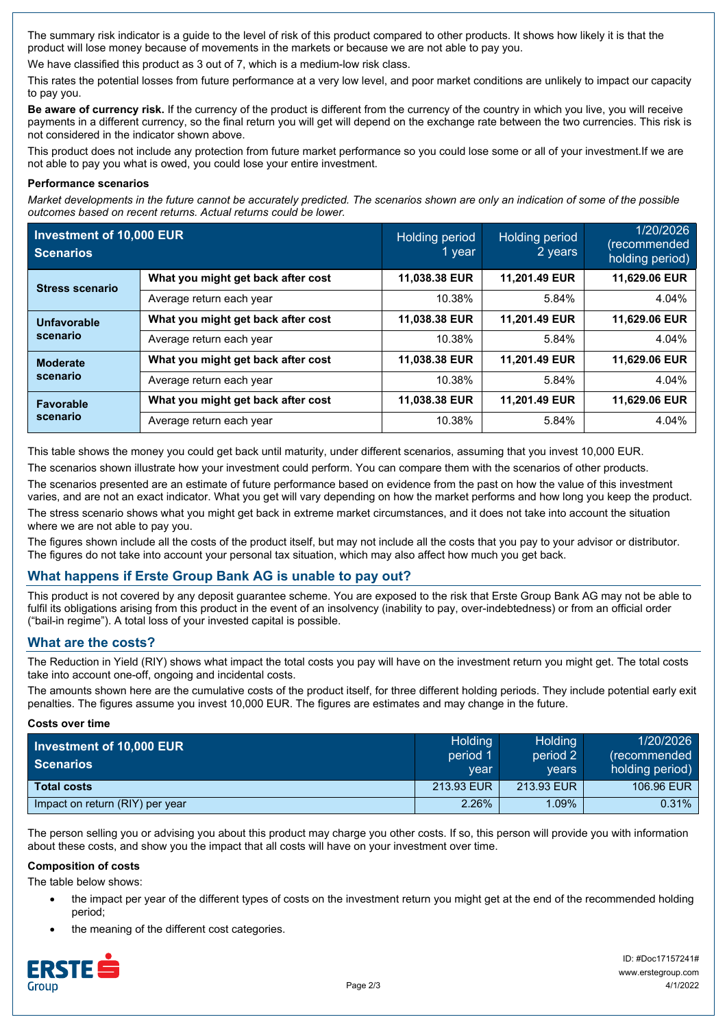The summary risk indicator is a guide to the level of risk of this product compared to other products. It shows how likely it is that the product will lose money because of movements in the markets or because we are not able to pay you.

We have classified this product as 3 out of 7, which is a medium-low risk class.

This rates the potential losses from future performance at a very low level, and poor market conditions are unlikely to impact our capacity to pay you.

**Be aware of currency risk.** If the currency of the product is different from the currency of the country in which you live, you will receive payments in a different currency, so the final return you will get will depend on the exchange rate between the two currencies. This risk is not considered in the indicator shown above.

This product does not include any protection from future market performance so you could lose some or all of your investment.If we are not able to pay you what is owed, you could lose your entire investment.

#### **Performance scenarios**

*Market developments in the future cannot be accurately predicted. The scenarios shown are only an indication of some of the possible outcomes based on recent returns. Actual returns could be lower.*

| Investment of 10,000 EUR<br><b>Scenarios</b> |                                    | <b>Holding period</b><br>1 year | Holding period<br>2 years | 1/20/2026<br>(recommended<br>holding period) |
|----------------------------------------------|------------------------------------|---------------------------------|---------------------------|----------------------------------------------|
| <b>Stress scenario</b>                       | What you might get back after cost | 11,038.38 EUR                   | 11,201.49 EUR             | 11,629.06 EUR                                |
|                                              | Average return each year           | 10.38%                          | 5.84%                     | 4.04%                                        |
| Unfavorable<br>scenario                      | What you might get back after cost | 11,038.38 EUR                   | 11.201.49 EUR             | 11,629.06 EUR                                |
|                                              | Average return each year           | 10.38%                          | 5.84%                     | 4.04%                                        |
| <b>Moderate</b><br>scenario                  | What you might get back after cost | 11,038.38 EUR                   | 11,201.49 EUR             | 11,629.06 EUR                                |
|                                              | Average return each year           | 10.38%                          | 5.84%                     | 4.04%                                        |
| <b>Favorable</b><br>scenario                 | What you might get back after cost | 11,038.38 EUR                   | 11,201.49 EUR             | 11,629.06 EUR                                |
|                                              | Average return each year           | 10.38%                          | 5.84%                     | 4.04%                                        |

This table shows the money you could get back until maturity, under different scenarios, assuming that you invest 10,000 EUR.

The scenarios shown illustrate how your investment could perform. You can compare them with the scenarios of other products. The scenarios presented are an estimate of future performance based on evidence from the past on how the value of this investment varies, and are not an exact indicator. What you get will vary depending on how the market performs and how long you keep the product. The stress scenario shows what you might get back in extreme market circumstances, and it does not take into account the situation where we are not able to pay you.

The figures shown include all the costs of the product itself, but may not include all the costs that you pay to your advisor or distributor. The figures do not take into account your personal tax situation, which may also affect how much you get back.

# **What happens if Erste Group Bank AG is unable to pay out?**

This product is not covered by any deposit guarantee scheme. You are exposed to the risk that Erste Group Bank AG may not be able to fulfil its obligations arising from this product in the event of an insolvency (inability to pay, over-indebtedness) or from an official order ("bail-in regime"). A total loss of your invested capital is possible.

## **What are the costs?**

The Reduction in Yield (RIY) shows what impact the total costs you pay will have on the investment return you might get. The total costs take into account one-off, ongoing and incidental costs.

The amounts shown here are the cumulative costs of the product itself, for three different holding periods. They include potential early exit penalties. The figures assume you invest 10,000 EUR. The figures are estimates and may change in the future.

## **Costs over time**

| Investment of 10,000 EUR<br>Scenarios | <b>Holding</b><br>period 1<br>vear | Holding<br>period 2<br>vears | 1/20/2026<br>(recommended)<br>holding period) |
|---------------------------------------|------------------------------------|------------------------------|-----------------------------------------------|
| <b>Total costs</b>                    | 213.93 EUR                         | 213.93 EUR                   | 106.96 EUR                                    |
| Impact on return (RIY) per year       | 2.26%                              | $1.09\%$                     | $0.31\%$                                      |

The person selling you or advising you about this product may charge you other costs. If so, this person will provide you with information about these costs, and show you the impact that all costs will have on your investment over time.

## **Composition of costs**

The table below shows:

- the impact per year of the different types of costs on the investment return you might get at the end of the recommended holding period;
- the meaning of the different cost categories.